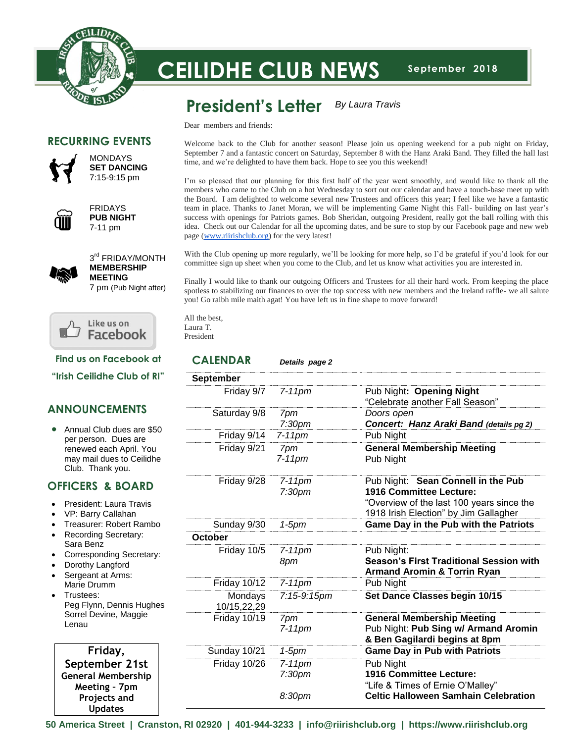

# **September 2018 CEILIDHE CLUB NEWS**

#### **President's Letter** *By Laura Travis*

Dear members and friends:

# **RECURRING EVENTS**



MONDAYS **SET DANCING** 7:15-9:15 pm



FRIDAYS **PUB NIGHT** 7-11 pm



3<sup>rd</sup> FRIDAY/MONTH **MEMBERSHIP MEETING**

7 pm (Pub Night after)



**Find us on Facebook at**

**"Irish Ceilidhe Club of RI"**

# **ANNOUNCEMENTS**

• Annual Club dues are \$50 per person. Dues are renewed each April. You may mail dues to Ceilidhe Club. Thank you.

# **OFFICERS & BOARD**

- President: Laura Travis
- VP: Barry Callahan
- Treasurer: Robert Rambo
- Recording Secretary: Sara Benz
- Corresponding Secretary:
- Dorothy Langford
- Sergeant at Arms: Marie Drumm
- Trustees: Peg Flynn, Dennis Hughes Sorrel Devine, Maggie Lenau

 **Friday, September 21st General Membership Meeting – 7pm Projects and Updates**

Welcome back to the Club for another season! Please join us opening weekend for a pub night on Friday, September 7 and a fantastic concert on Saturday, September 8 with the Hanz Araki Band. They filled the hall last time, and we're delighted to have them back. Hope to see you this weekend!

I'm so pleased that our planning for this first half of the year went smoothly, and would like to thank all the members who came to the Club on a hot Wednesday to sort out our calendar and have a touch-base meet up with the Board. I am delighted to welcome several new Trustees and officers this year; I feel like we have a fantastic team in place. Thanks to Janet Moran, we will be implementing Game Night this Fall- building on last year's success with openings for Patriots games. Bob Sheridan, outgoing President, really got the ball rolling with this idea. Check out our Calendar for all the upcoming dates, and be sure to stop by our Facebook page and new web page [\(www.riirishclub.org\)](http://www.riirishclub.org/) for the very latest!

With the Club opening up more regularly, we'll be looking for more help, so I'd be grateful if you'd look for our committee sign up sheet when you come to the Club, and let us know what activities you are interested in.

Finally I would like to thank our outgoing Officers and Trustees for all their hard work. From keeping the place spotless to stabilizing our finances to over the top success with new members and the Ireland raffle- we all salute you! Go raibh mile maith agat! You have left us in fine shape to move forward!

All the best, Laura T. President

## **CALENDAR** *Details page 2*

| <b>September</b>       |                                 |                                                                                                                                                     |
|------------------------|---------------------------------|-----------------------------------------------------------------------------------------------------------------------------------------------------|
| Friday 9/7             | $7-11$ pm                       | Pub Night: Opening Night<br>"Celebrate another Fall Season"                                                                                         |
| Saturday 9/8           | 7pm<br>7:30 <sub>pm</sub>       | Doors open<br>Concert: Hanz Araki Band (details pg 2)                                                                                               |
| Friday 9/14            | $7-11$ pm                       | Pub Night                                                                                                                                           |
| Friday 9/21            | 7pm<br>$7-11$ pm                | <b>General Membership Meeting</b><br>Pub Night                                                                                                      |
| Friday 9/28            | $7-11$ pm<br>7:30 <sub>pm</sub> | Pub Night: Sean Connell in the Pub<br>1916 Committee Lecture:<br>"Overview of the last 100 years since the<br>1918 Irish Election" by Jim Gallagher |
| Sunday 9/30            | 1-5pm                           | Game Day in the Pub with the Patriots                                                                                                               |
| October                |                                 |                                                                                                                                                     |
| Friday 10/5            | $7-11$ pm<br>8pm                | Pub Night:<br><b>Season's First Traditional Session with</b><br><b>Armand Aromin &amp; Torrin Ryan</b>                                              |
| <b>Friday 10/12</b>    | $7-11$ pm                       | Pub Night                                                                                                                                           |
| Mondays<br>10/15,22,29 | 7:15-9:15pm                     | Set Dance Classes begin 10/15                                                                                                                       |
| <b>Friday 10/19</b>    | 7pm<br>$7-11$ pm                | <b>General Membership Meeting</b><br>Pub Night: Pub Sing w/ Armand Aromin<br>& Ben Gagilardi begins at 8pm                                          |
| Sunday 10/21           | $1-5$ pm                        | <b>Game Day in Pub with Patriots</b>                                                                                                                |
| <b>Friday 10/26</b>    | $7-11$ pm<br>7:30 <sub>pm</sub> | Pub Night<br>1916 Committee Lecture:<br>"Life & Times of Ernie O'Malley"                                                                            |
|                        | 8:30pm                          | <b>Celtic Halloween Samhain Celebration</b>                                                                                                         |

**50 America Street | Cranston, RI 02920 | 401-944-3233 | info@riirishclub.org | https://www.riirishclub.org**